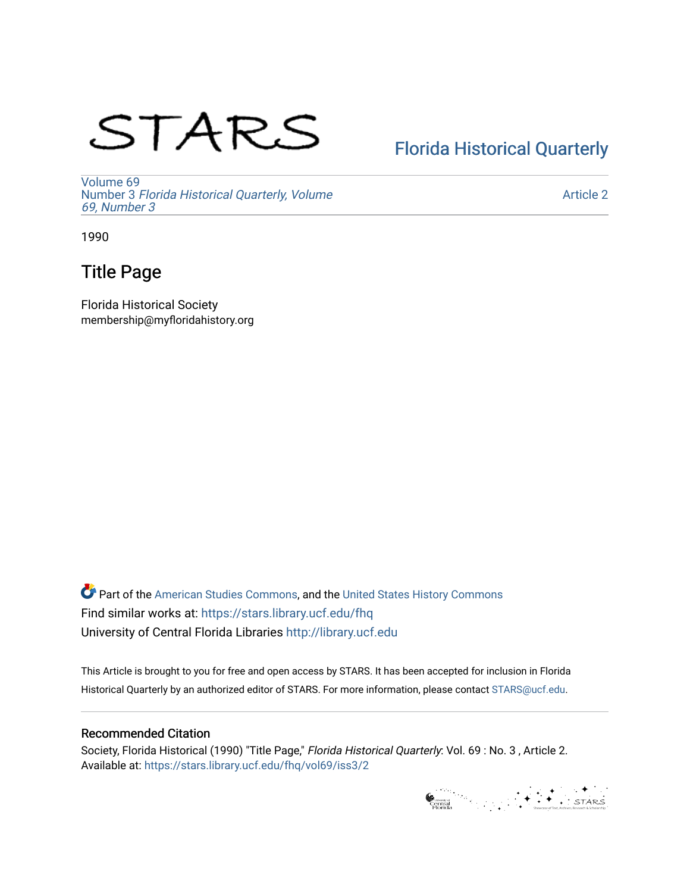# STARS

## [Florida Historical Quarterly](https://stars.library.ucf.edu/fhq)

[Volume 69](https://stars.library.ucf.edu/fhq/vol69) Number 3 [Florida Historical Quarterly, Volume](https://stars.library.ucf.edu/fhq/vol69/iss3)  [69, Number 3](https://stars.library.ucf.edu/fhq/vol69/iss3)

[Article 2](https://stars.library.ucf.edu/fhq/vol69/iss3/2) 

1990

### Title Page

Florida Historical Society membership@myfloridahistory.org

**C** Part of the [American Studies Commons](http://network.bepress.com/hgg/discipline/439?utm_source=stars.library.ucf.edu%2Ffhq%2Fvol69%2Fiss3%2F2&utm_medium=PDF&utm_campaign=PDFCoverPages), and the United States History Commons Find similar works at: <https://stars.library.ucf.edu/fhq> University of Central Florida Libraries [http://library.ucf.edu](http://library.ucf.edu/) 

This Article is brought to you for free and open access by STARS. It has been accepted for inclusion in Florida Historical Quarterly by an authorized editor of STARS. For more information, please contact [STARS@ucf.edu.](mailto:STARS@ucf.edu)

#### Recommended Citation

Society, Florida Historical (1990) "Title Page," Florida Historical Quarterly: Vol. 69 : No. 3 , Article 2. Available at: [https://stars.library.ucf.edu/fhq/vol69/iss3/2](https://stars.library.ucf.edu/fhq/vol69/iss3/2?utm_source=stars.library.ucf.edu%2Ffhq%2Fvol69%2Fiss3%2F2&utm_medium=PDF&utm_campaign=PDFCoverPages) 

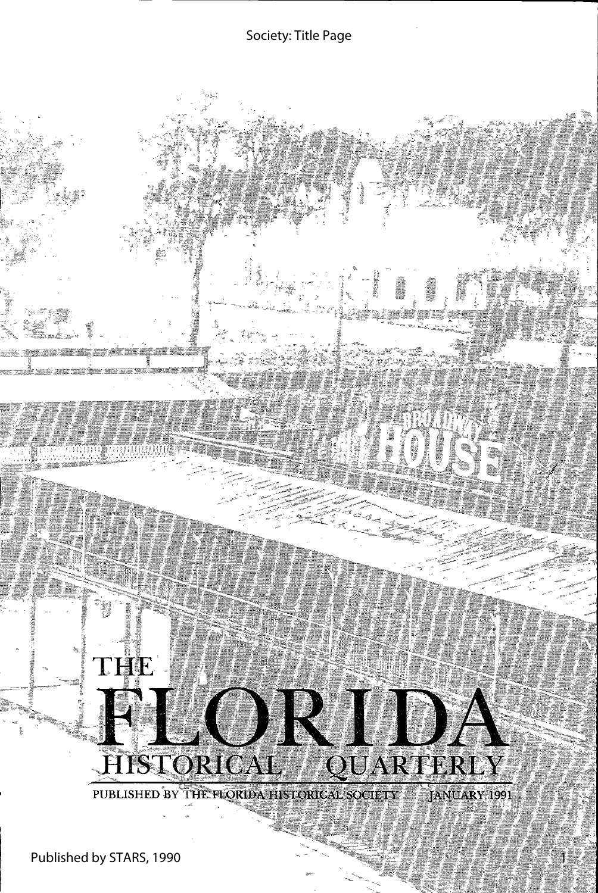#### Society: Title Page

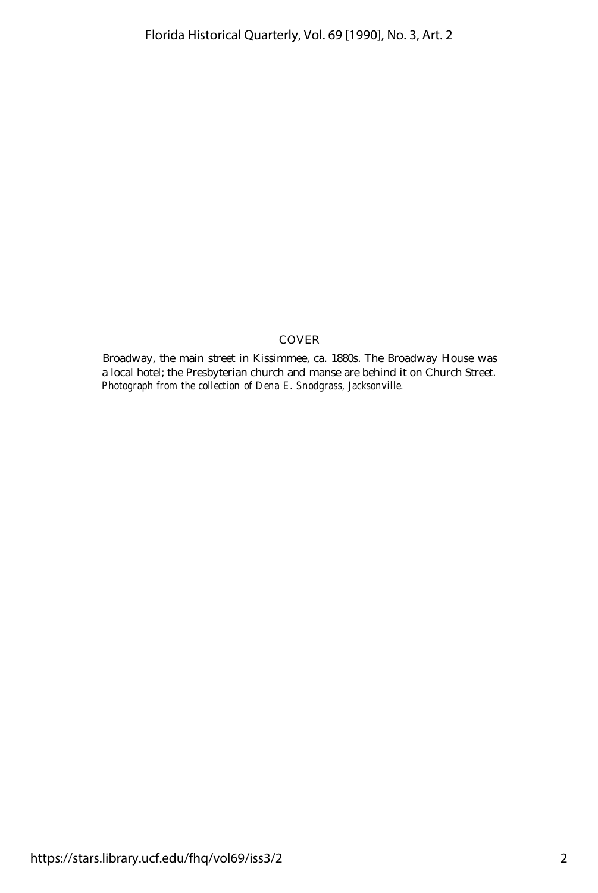#### COVER

Broadway, the main street in Kissimmee, ca. 1880s. The Broadway House was a local hotel; the Presbyterian church and manse are behind it on Church Street. *Photograph from the collection of Dena E. Snodgrass, Jacksonville.*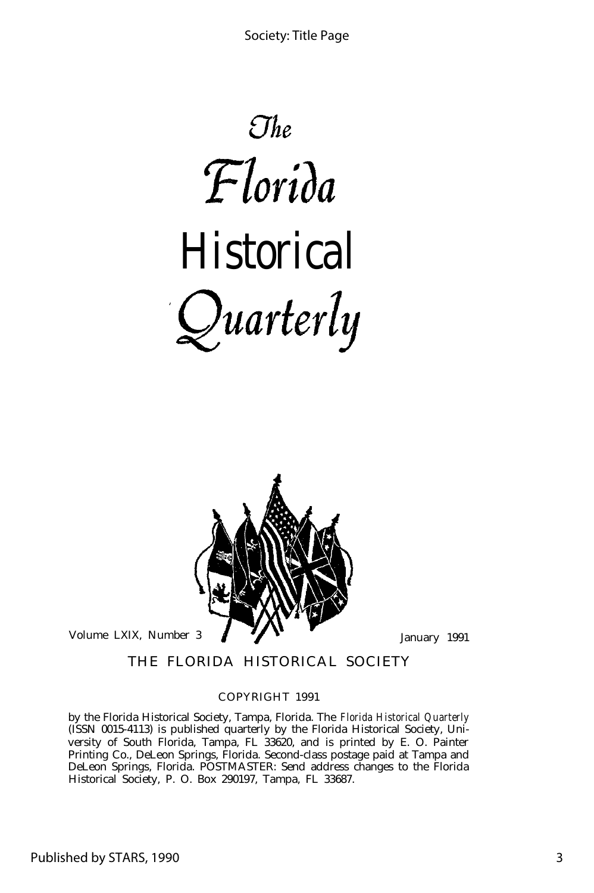



THE FLORIDA HISTORICAL SOCIETY

#### COPYRIGHT 1991

by the Florida Historical Society, Tampa, Florida. The *Florida Historical Quarterly* (ISSN 0015-4113) is published quarterly by the Florida Historical Society, University of South Florida, Tampa, FL 33620, and is printed by E. O. Painter Printing Co., DeLeon Springs, Florida. Second-class postage paid at Tampa and DeLeon Springs, Florida. POSTMASTER: Send address changes to the Florida Historical Society, P. O. Box 290197, Tampa, FL 33687.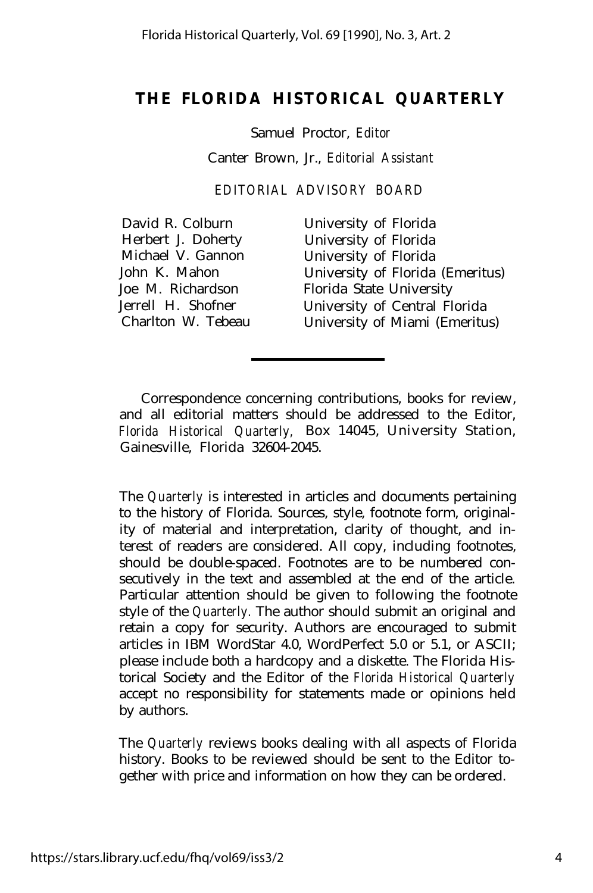#### **THE FLORIDA HISTORICAL QUARTERLY**

Samuel Proctor, *Editor* Canter Brown, Jr., *Editorial Assistant*

*EDITORIAL ADVISORY BOARD*

| David R. Colburn   |
|--------------------|
| Herbert J. Doherty |
| Michael V. Gannon  |
| John K. Mahon      |
| Joe M. Richardson  |
| Jerrell H. Shofner |
| Charlton W. Tebeau |

University of Florida University of Florida University of Florida University of Florida (Emeritus) Florida State University University of Central Florida University of Miami (Emeritus)

Correspondence concerning contributions, books for review, and all editorial matters should be addressed to the Editor, *Florida Historical Quarterly,* Box 14045, University Station, Gainesville, Florida 32604-2045.

The *Quarterly* is interested in articles and documents pertaining to the history of Florida. Sources, style, footnote form, originality of material and interpretation, clarity of thought, and interest of readers are considered. All copy, including footnotes, should be double-spaced. Footnotes are to be numbered consecutively in the text and assembled at the end of the article. Particular attention should be given to following the footnote style of the *Quarterly.* The author should submit an original and retain a copy for security. Authors are encouraged to submit articles in IBM WordStar 4.0, WordPerfect 5.0 or 5.1, or ASCII; please include both a hardcopy and a diskette. The Florida Historical Society and the Editor of the *Florida Historical Quarterly* accept no responsibility for statements made or opinions held by authors.

The *Quarterly* reviews books dealing with all aspects of Florida history. Books to be reviewed should be sent to the Editor together with price and information on how they can be ordered.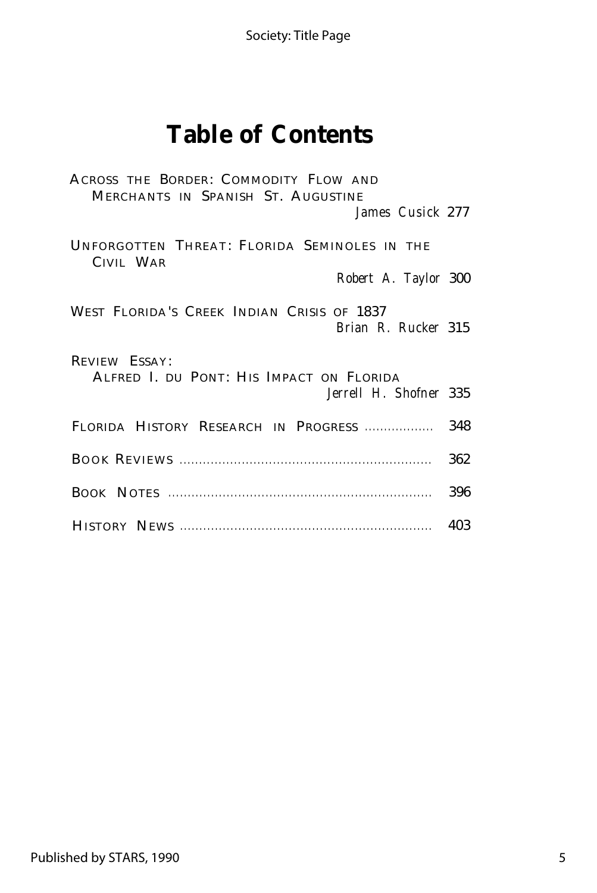Society: Title Page

## **Table of Contents**

| ACROSS THE BORDER: COMMODITY FLOW AND<br>MERCHANTS IN SPANISH ST. AUGUSTINE<br>James Cusick 277 |     |
|-------------------------------------------------------------------------------------------------|-----|
| UNFORGOTTEN THREAT: FLORIDA SEMINOLES IN THE<br>CIVIL WAR<br>Robert A. Taylor 300               |     |
| WEST FLORIDA'S CREEK INDIAN CRISIS OF 1837<br>Brian R. Rucker 315                               |     |
| REVIEW ESSAY:<br>ALFRED I. DU PONT: HIS IMPACT ON FLORIDA<br>Jerrell H. Shofner 335             |     |
| FLORIDA HISTORY RESEARCH IN PROGRESS                                                            | 348 |
|                                                                                                 | 362 |
|                                                                                                 | 396 |
|                                                                                                 | 403 |